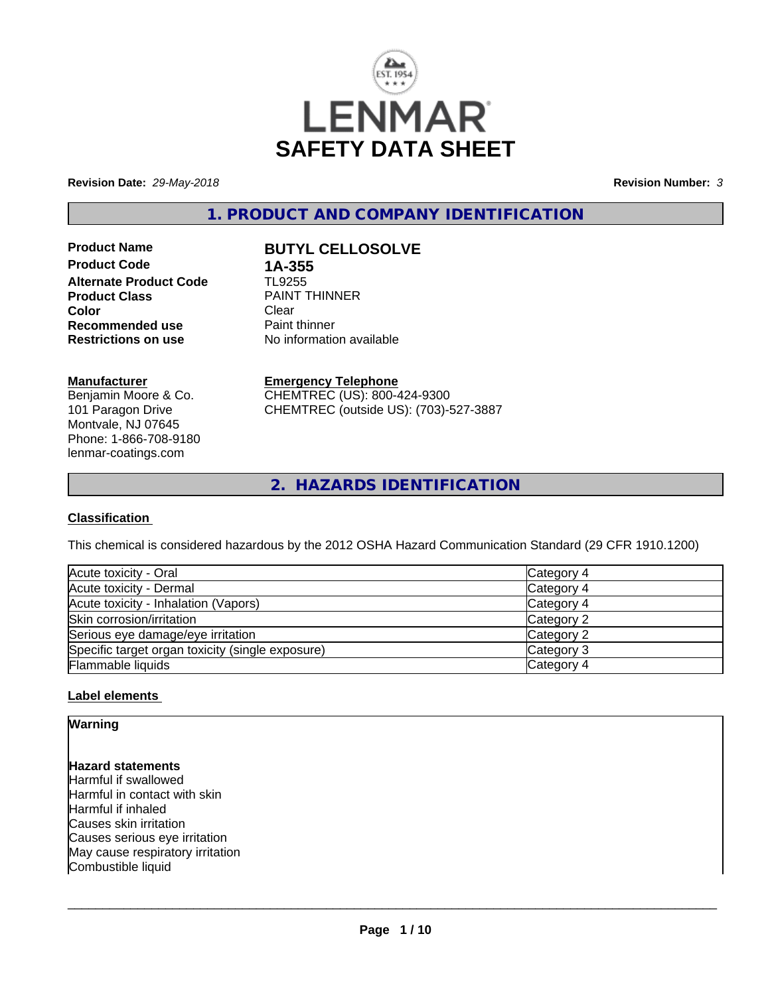

**Revision Date:** *29-May-2018* **Revision Number:** *3*

**1. PRODUCT AND COMPANY IDENTIFICATION**

**Product Code 1A-355**<br>**Alternate Product Code 1L9255 Alternate Product Code Product Class Example 20 PAINT THINNER**<br> **Clear Color** Clear Clear **Recommended use** Paint thinner<br> **Restrictions on use** No information

# **Product Name BUTYL CELLOSOLVE**

**No information available** 

# **Manufacturer**

Benjamin Moore & Co. 101 Paragon Drive Montvale, NJ 07645 Phone: 1-866-708-9180 lenmar-coatings.com

# **Emergency Telephone**

CHEMTREC (US): 800-424-9300 CHEMTREC (outside US): (703)-527-3887

**2. HAZARDS IDENTIFICATION**

# **Classification**

This chemical is considered hazardous by the 2012 OSHA Hazard Communication Standard (29 CFR 1910.1200)

| Acute toxicity - Oral                            | Category 4 |
|--------------------------------------------------|------------|
| Acute toxicity - Dermal                          | Category 4 |
| Acute toxicity - Inhalation (Vapors)             | Category 4 |
| Skin corrosion/irritation                        | Category 2 |
| Serious eye damage/eye irritation                | Category 2 |
| Specific target organ toxicity (single exposure) | Category 3 |
| Flammable liquids                                | Category 4 |

# **Label elements**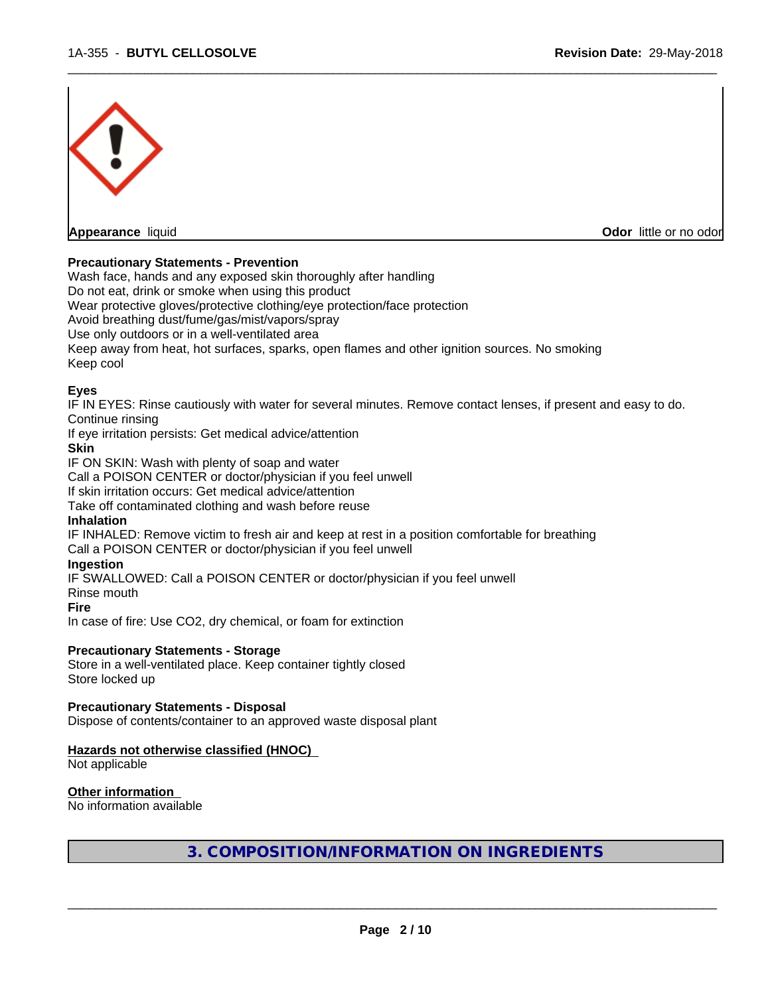

# **Precautionary Statements - Prevention**

Wash face, hands and any exposed skin thoroughly after handling

Do not eat, drink or smoke when using this product

Wear protective gloves/protective clothing/eye protection/face protection

Avoid breathing dust/fume/gas/mist/vapors/spray

Use only outdoors or in a well-ventilated area

Keep away from heat, hot surfaces, sparks, open flames and other ignition sources. No smoking Keep cool

# **Eyes**

IF IN EYES: Rinse cautiously with water for several minutes. Remove contact lenses, if present and easy to do. Continue rinsing

If eye irritation persists: Get medical advice/attention

# **Skin**

IF ON SKIN: Wash with plenty of soap and water

Call a POISON CENTER or doctor/physician if you feel unwell

If skin irritation occurs: Get medical advice/attention

Take off contaminated clothing and wash before reuse

# **Inhalation**

IF INHALED: Remove victim to fresh air and keep at rest in a position comfortable for breathing

Call a POISON CENTER or doctor/physician if you feel unwell

# **Ingestion**

IF SWALLOWED: Call a POISON CENTER or doctor/physician if you feel unwell

Rinse mouth

#### **Fire**

In case of fire: Use CO2, dry chemical, or foam for extinction

# **Precautionary Statements - Storage**

Store in a well-ventilated place. Keep container tightly closed Store locked up

# **Precautionary Statements - Disposal**

Dispose of contents/container to an approved waste disposal plant

# **Hazards not otherwise classified (HNOC)**

Not applicable

# **Other information**

No information available

**3. COMPOSITION/INFORMATION ON INGREDIENTS**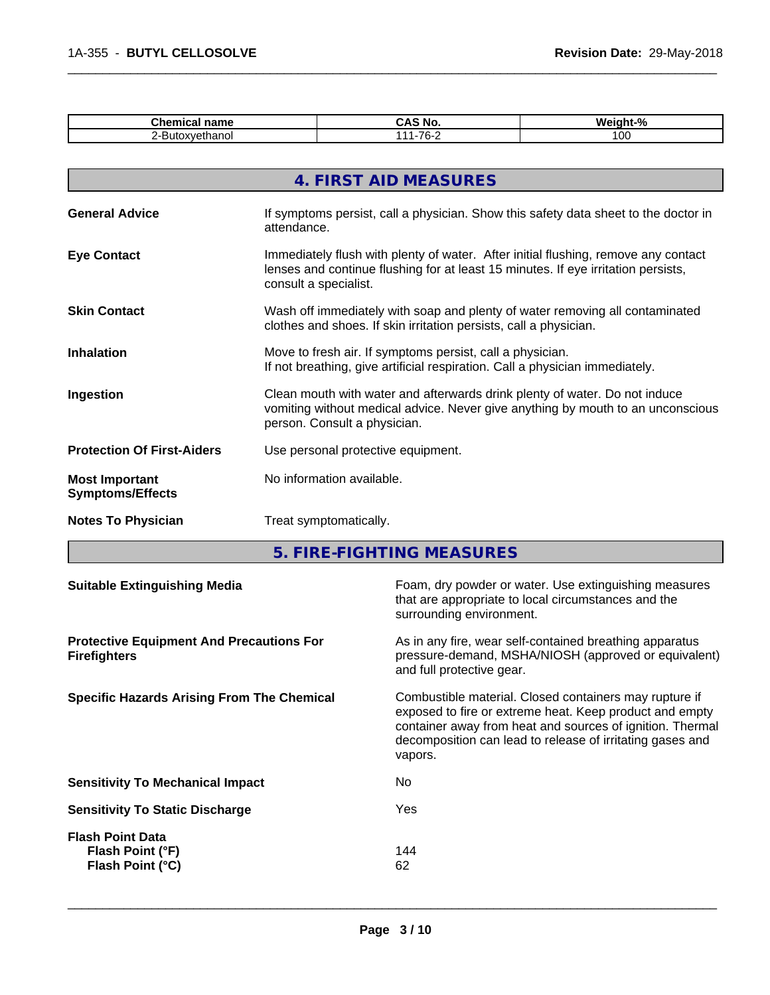| <b>Chemical name</b>                             |                                                                                                                                                                                                  | <b>CAS No.</b>         | Weight-% |
|--------------------------------------------------|--------------------------------------------------------------------------------------------------------------------------------------------------------------------------------------------------|------------------------|----------|
| 2-Butoxyethanol                                  |                                                                                                                                                                                                  | 111-76-2               | 100      |
|                                                  |                                                                                                                                                                                                  |                        |          |
|                                                  |                                                                                                                                                                                                  | 4. FIRST AID MEASURES  |          |
| <b>General Advice</b>                            | If symptoms persist, call a physician. Show this safety data sheet to the doctor in<br>attendance.                                                                                               |                        |          |
| <b>Eye Contact</b>                               | Immediately flush with plenty of water. After initial flushing, remove any contact<br>lenses and continue flushing for at least 15 minutes. If eye irritation persists,<br>consult a specialist. |                        |          |
| <b>Skin Contact</b>                              | Wash off immediately with soap and plenty of water removing all contaminated<br>clothes and shoes. If skin irritation persists, call a physician.                                                |                        |          |
| <b>Inhalation</b>                                | Move to fresh air. If symptoms persist, call a physician.<br>If not breathing, give artificial respiration. Call a physician immediately.                                                        |                        |          |
| Ingestion                                        | Clean mouth with water and afterwards drink plenty of water. Do not induce<br>vomiting without medical advice. Never give anything by mouth to an unconscious<br>person. Consult a physician.    |                        |          |
| <b>Protection Of First-Aiders</b>                | Use personal protective equipment.                                                                                                                                                               |                        |          |
| <b>Most Important</b><br><b>Symptoms/Effects</b> | No information available.                                                                                                                                                                        |                        |          |
| <b>Notes To Physician</b>                        |                                                                                                                                                                                                  | Treat symptomatically. |          |

**5. FIRE-FIGHTING MEASURES**

| Foam, dry powder or water. Use extinguishing measures<br><b>Suitable Extinguishing Media</b><br>that are appropriate to local circumstances and the<br>surrounding environment.                                                                                                                             |  |
|-------------------------------------------------------------------------------------------------------------------------------------------------------------------------------------------------------------------------------------------------------------------------------------------------------------|--|
| As in any fire, wear self-contained breathing apparatus<br><b>Protective Equipment And Precautions For</b><br>pressure-demand, MSHA/NIOSH (approved or equivalent)<br><b>Firefighters</b><br>and full protective gear.                                                                                      |  |
| <b>Specific Hazards Arising From The Chemical</b><br>Combustible material. Closed containers may rupture if<br>exposed to fire or extreme heat. Keep product and empty<br>container away from heat and sources of ignition. Thermal<br>decomposition can lead to release of irritating gases and<br>vapors. |  |
| No.<br><b>Sensitivity To Mechanical Impact</b>                                                                                                                                                                                                                                                              |  |
| Yes<br><b>Sensitivity To Static Discharge</b>                                                                                                                                                                                                                                                               |  |
| <b>Flash Point Data</b><br>144<br>Flash Point (°F)<br>62<br>Flash Point (°C)                                                                                                                                                                                                                                |  |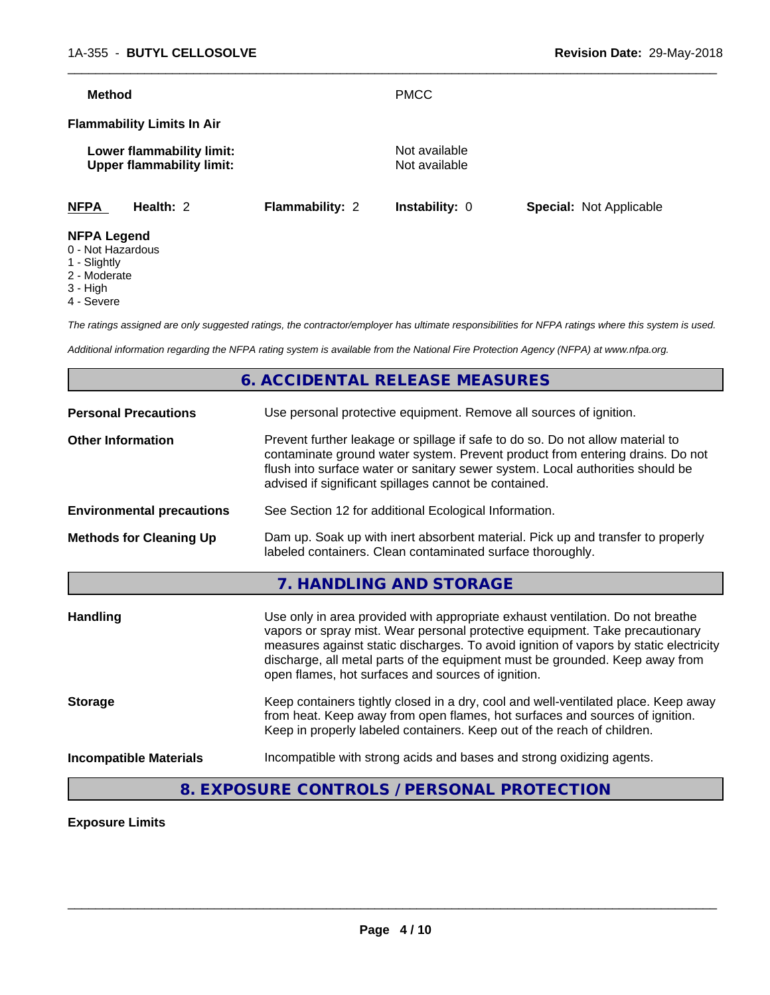| <b>Method</b>      |                                                               |                        | <b>PMCC</b>                    |                                |
|--------------------|---------------------------------------------------------------|------------------------|--------------------------------|--------------------------------|
|                    | <b>Flammability Limits In Air</b>                             |                        |                                |                                |
|                    | Lower flammability limit:<br><b>Upper flammability limit:</b> |                        | Not available<br>Not available |                                |
| <b>NFPA</b>        | Health: $2$                                                   | <b>Flammability: 2</b> | <b>Instability: 0</b>          | <b>Special: Not Applicable</b> |
| <b>NFPA Legend</b> |                                                               |                        |                                |                                |

- 0 Not Hazardous
- 1 Slightly
- 2 Moderate
- 3 High
- 4 Severe

*The ratings assigned are only suggested ratings, the contractor/employer has ultimate responsibilities for NFPA ratings where this system is used.*

*Additional information regarding the NFPA rating system is available from the National Fire Protection Agency (NFPA) at www.nfpa.org.*

# **6. ACCIDENTAL RELEASE MEASURES Personal Precautions** Use personal protective equipment. Remove all sources of ignition. **Other Information** Prevent further leakage or spillage if safe to do so. Do not allow material to contaminate ground water system. Prevent product from entering drains. Do not flush into surface water or sanitary sewer system. Local authorities should be advised if significant spillages cannot be contained. **Environmental precautions** See Section 12 for additional Ecological Information. **Methods for Cleaning Up** Dam up. Soak up with inert absorbent material. Pick up and transfer to properly labeled containers. Clean contaminated surface thoroughly. **7. HANDLING AND STORAGE Handling** Use only in area provided with appropriate exhaust ventilation. Do not breathe vapors or spray mist. Wear personal protective equipment. Take precautionary measures against static discharges. To avoid ignition of vapors by static electricity discharge, all metal parts of the equipment must be grounded. Keep away from open flames, hot surfaces and sources of ignition. **Storage** Keep containers tightly closed in a dry, cool and well-ventilated place. Keep away from heat. Keep away from open flames, hot surfaces and sources of ignition. Keep in properly labeled containers. Keep out of the reach of children. **Incompatible Materials Incompatible with strong acids and bases and strong oxidizing agents.**

# **8. EXPOSURE CONTROLS / PERSONAL PROTECTION**

# **Exposure Limits**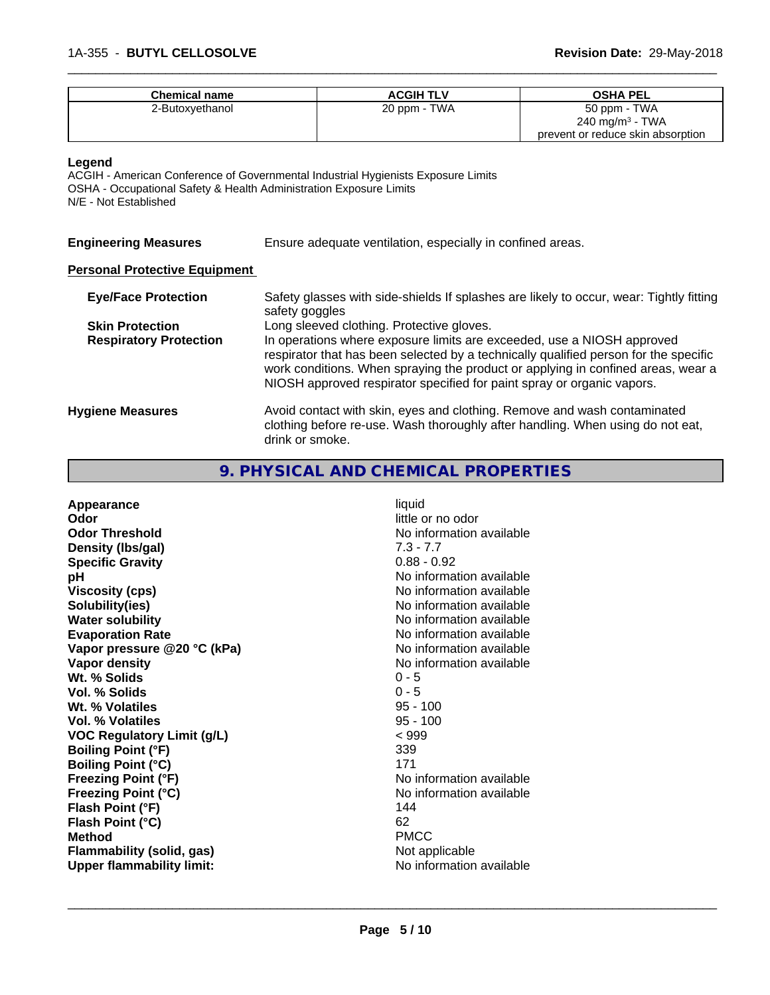| <b>Chemical name</b> | <b>ACGIH TLV</b> | <b>OSHA PEL</b>                   |
|----------------------|------------------|-----------------------------------|
| 2-Butoxyethanol      | 20 ppm - TWA     | 50 ppm - TWA                      |
|                      |                  | 240 mg/m <sup>3</sup> - TWA       |
|                      |                  | prevent or reduce skin absorption |

#### **Legend**

ACGIH - American Conference of Governmental Industrial Hygienists Exposure Limits OSHA - Occupational Safety & Health Administration Exposure Limits N/E - Not Established

| Ensure adequate ventilation, especially in confined areas.<br><b>Engineering Measures</b> |  |
|-------------------------------------------------------------------------------------------|--|
|-------------------------------------------------------------------------------------------|--|

# **Personal Protective Equipment**

| <b>Eye/Face Protection</b>    | Safety glasses with side-shields If splashes are likely to occur, wear: Tightly fitting<br>safety goggles                                                                                                                                                                                                                    |
|-------------------------------|------------------------------------------------------------------------------------------------------------------------------------------------------------------------------------------------------------------------------------------------------------------------------------------------------------------------------|
| <b>Skin Protection</b>        | Long sleeved clothing. Protective gloves.                                                                                                                                                                                                                                                                                    |
| <b>Respiratory Protection</b> | In operations where exposure limits are exceeded, use a NIOSH approved<br>respirator that has been selected by a technically qualified person for the specific<br>work conditions. When spraying the product or applying in confined areas, wear a<br>NIOSH approved respirator specified for paint spray or organic vapors. |
| <b>Hygiene Measures</b>       | Avoid contact with skin, eyes and clothing. Remove and wash contaminated<br>clothing before re-use. Wash thoroughly after handling. When using do not eat,<br>drink or smoke.                                                                                                                                                |

# **9. PHYSICAL AND CHEMICAL PROPERTIES**

| Appearance                        | liquid                   |
|-----------------------------------|--------------------------|
| Odor                              | little or no odor        |
| <b>Odor Threshold</b>             | No information available |
| Density (Ibs/gal)                 | $7.3 - 7.7$              |
| <b>Specific Gravity</b>           | $0.88 - 0.92$            |
| рH                                | No information available |
| <b>Viscosity (cps)</b>            | No information available |
| Solubility(ies)                   | No information available |
| <b>Water solubility</b>           | No information available |
| <b>Evaporation Rate</b>           | No information available |
| Vapor pressure @20 °C (kPa)       | No information available |
| Vapor density                     | No information available |
| Wt. % Solids                      | $0 - 5$                  |
| Vol. % Solids                     | $0 - 5$                  |
| Wt. % Volatiles                   | $95 - 100$               |
| <b>Vol. % Volatiles</b>           | $95 - 100$               |
| <b>VOC Regulatory Limit (g/L)</b> | < 999                    |
| <b>Boiling Point (°F)</b>         | 339                      |
| <b>Boiling Point (°C)</b>         | 171                      |
| <b>Freezing Point (°F)</b>        | No information available |
|                                   |                          |
| <b>Freezing Point (°C)</b>        | No information available |
| Flash Point (°F)                  | 144                      |
| Flash Point (°C)                  | 62                       |
| <b>Method</b>                     | <b>PMCC</b>              |
| Flammability (solid, gas)         | Not applicable           |
| <b>Upper flammability limit:</b>  | No information available |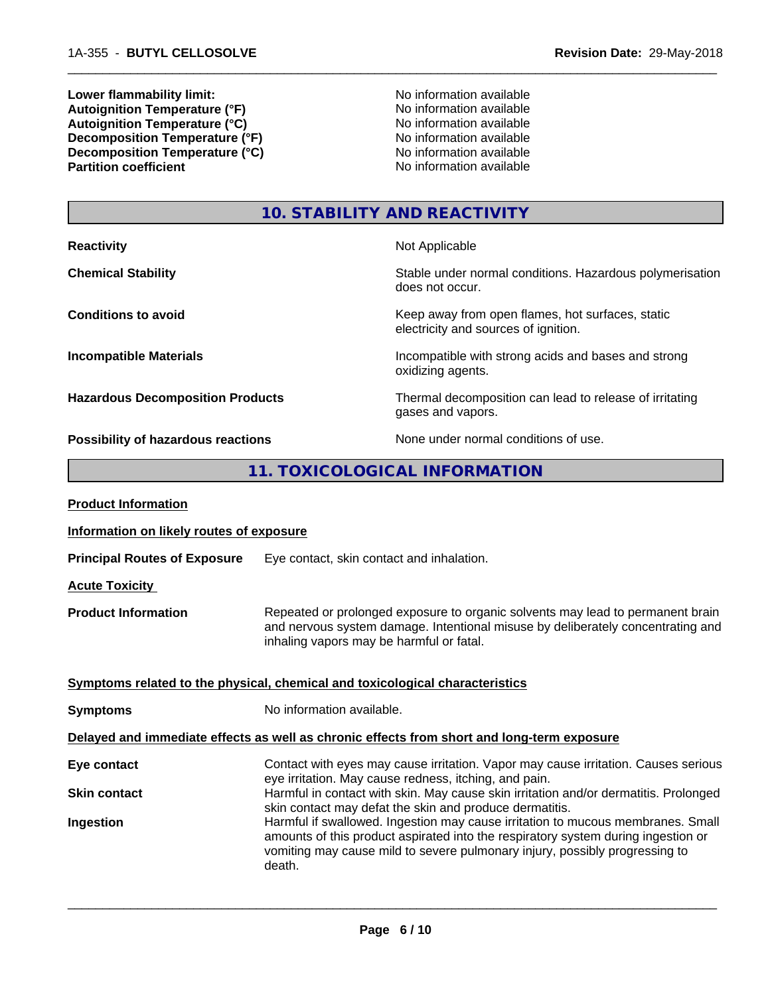**Lower flammability limit:**<br> **Autoignition Temperature (°F)**<br>
No information available<br>
No information available Autoignition Temperature (°F)<br>
Autoignition Temperature (°C)<br>
No information available<br>
No information available Autoignition **Temperature** (°C) Mo information available<br>Decomposition **Temperature** (°F) No information available **Decomposition Temperature (°F)**<br> **Decomposition Temperature (°C)**<br>
No information available<br>
No information available **Decomposition Temperature**  $\hat{c}$ **<sup>o</sup>C)**<br>Partition coefficient

**No information available** 

 $\overline{\phantom{a}}$  ,  $\overline{\phantom{a}}$  ,  $\overline{\phantom{a}}$  ,  $\overline{\phantom{a}}$  ,  $\overline{\phantom{a}}$  ,  $\overline{\phantom{a}}$  ,  $\overline{\phantom{a}}$  ,  $\overline{\phantom{a}}$  ,  $\overline{\phantom{a}}$  ,  $\overline{\phantom{a}}$  ,  $\overline{\phantom{a}}$  ,  $\overline{\phantom{a}}$  ,  $\overline{\phantom{a}}$  ,  $\overline{\phantom{a}}$  ,  $\overline{\phantom{a}}$  ,  $\overline{\phantom{a}}$ 

# **10. STABILITY AND REACTIVITY**

| <b>Reactivity</b>                       | Not Applicable                                                                           |
|-----------------------------------------|------------------------------------------------------------------------------------------|
| <b>Chemical Stability</b>               | Stable under normal conditions. Hazardous polymerisation<br>does not occur.              |
| <b>Conditions to avoid</b>              | Keep away from open flames, hot surfaces, static<br>electricity and sources of ignition. |
| <b>Incompatible Materials</b>           | Incompatible with strong acids and bases and strong<br>oxidizing agents.                 |
| <b>Hazardous Decomposition Products</b> | Thermal decomposition can lead to release of irritating<br>gases and vapors.             |
| Possibility of hazardous reactions      | None under normal conditions of use.                                                     |

# **11. TOXICOLOGICAL INFORMATION**

| Information on likely routes of exposure<br>Eye contact, skin contact and inhalation.<br>Repeated or prolonged exposure to organic solvents may lead to permanent brain<br>and nervous system damage. Intentional misuse by deliberately concentrating and<br>inhaling vapors may be harmful or fatal.<br>Symptoms related to the physical, chemical and toxicological characteristics<br>No information available.<br>Delayed and immediate effects as well as chronic effects from short and long-term exposure<br>Contact with eyes may cause irritation. Vapor may cause irritation. Causes serious<br>eye irritation. May cause redness, itching, and pain.<br>Harmful in contact with skin. May cause skin irritation and/or dermatitis. Prolonged<br>skin contact may defat the skin and produce dermatitis.<br>Harmful if swallowed. Ingestion may cause irritation to mucous membranes. Small<br>amounts of this product aspirated into the respiratory system during ingestion or<br>vomiting may cause mild to severe pulmonary injury, possibly progressing to<br>death. | <b>Product Information</b>          |  |
|--------------------------------------------------------------------------------------------------------------------------------------------------------------------------------------------------------------------------------------------------------------------------------------------------------------------------------------------------------------------------------------------------------------------------------------------------------------------------------------------------------------------------------------------------------------------------------------------------------------------------------------------------------------------------------------------------------------------------------------------------------------------------------------------------------------------------------------------------------------------------------------------------------------------------------------------------------------------------------------------------------------------------------------------------------------------------------------|-------------------------------------|--|
|                                                                                                                                                                                                                                                                                                                                                                                                                                                                                                                                                                                                                                                                                                                                                                                                                                                                                                                                                                                                                                                                                      |                                     |  |
|                                                                                                                                                                                                                                                                                                                                                                                                                                                                                                                                                                                                                                                                                                                                                                                                                                                                                                                                                                                                                                                                                      | <b>Principal Routes of Exposure</b> |  |
|                                                                                                                                                                                                                                                                                                                                                                                                                                                                                                                                                                                                                                                                                                                                                                                                                                                                                                                                                                                                                                                                                      | <b>Acute Toxicity</b>               |  |
|                                                                                                                                                                                                                                                                                                                                                                                                                                                                                                                                                                                                                                                                                                                                                                                                                                                                                                                                                                                                                                                                                      | <b>Product Information</b>          |  |
|                                                                                                                                                                                                                                                                                                                                                                                                                                                                                                                                                                                                                                                                                                                                                                                                                                                                                                                                                                                                                                                                                      |                                     |  |
|                                                                                                                                                                                                                                                                                                                                                                                                                                                                                                                                                                                                                                                                                                                                                                                                                                                                                                                                                                                                                                                                                      | <b>Symptoms</b>                     |  |
|                                                                                                                                                                                                                                                                                                                                                                                                                                                                                                                                                                                                                                                                                                                                                                                                                                                                                                                                                                                                                                                                                      |                                     |  |
|                                                                                                                                                                                                                                                                                                                                                                                                                                                                                                                                                                                                                                                                                                                                                                                                                                                                                                                                                                                                                                                                                      | Eye contact                         |  |
|                                                                                                                                                                                                                                                                                                                                                                                                                                                                                                                                                                                                                                                                                                                                                                                                                                                                                                                                                                                                                                                                                      | <b>Skin contact</b>                 |  |
|                                                                                                                                                                                                                                                                                                                                                                                                                                                                                                                                                                                                                                                                                                                                                                                                                                                                                                                                                                                                                                                                                      | Ingestion                           |  |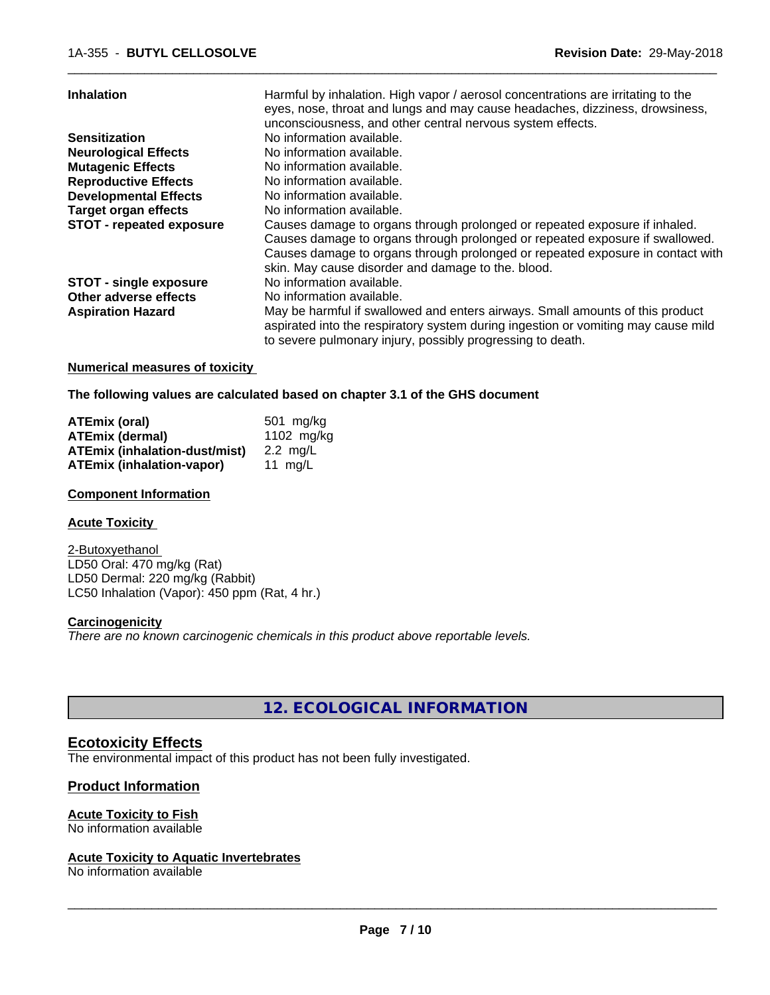| <b>Inhalation</b>               | Harmful by inhalation. High vapor / aerosol concentrations are irritating to the<br>eyes, nose, throat and lungs and may cause headaches, dizziness, drowsiness,<br>unconsciousness, and other central nervous system effects.                                                                     |
|---------------------------------|----------------------------------------------------------------------------------------------------------------------------------------------------------------------------------------------------------------------------------------------------------------------------------------------------|
| <b>Sensitization</b>            | No information available.                                                                                                                                                                                                                                                                          |
| <b>Neurological Effects</b>     | No information available.                                                                                                                                                                                                                                                                          |
| <b>Mutagenic Effects</b>        | No information available.                                                                                                                                                                                                                                                                          |
| <b>Reproductive Effects</b>     | No information available.                                                                                                                                                                                                                                                                          |
| <b>Developmental Effects</b>    | No information available.                                                                                                                                                                                                                                                                          |
| <b>Target organ effects</b>     | No information available.                                                                                                                                                                                                                                                                          |
| <b>STOT - repeated exposure</b> | Causes damage to organs through prolonged or repeated exposure if inhaled.<br>Causes damage to organs through prolonged or repeated exposure if swallowed.<br>Causes damage to organs through prolonged or repeated exposure in contact with<br>skin. May cause disorder and damage to the. blood. |
| <b>STOT - single exposure</b>   | No information available.                                                                                                                                                                                                                                                                          |
| Other adverse effects           | No information available.                                                                                                                                                                                                                                                                          |
| <b>Aspiration Hazard</b>        | May be harmful if swallowed and enters airways. Small amounts of this product<br>aspirated into the respiratory system during ingestion or vomiting may cause mild<br>to severe pulmonary injury, possibly progressing to death.                                                                   |
|                                 |                                                                                                                                                                                                                                                                                                    |

#### **Numerical measures of toxicity**

**The following values are calculated based on chapter 3.1 of the GHS document**

| ATEmix (oral)                        | 501 ma/ka          |
|--------------------------------------|--------------------|
| <b>ATEmix (dermal)</b>               | 1102 $mg/kg$       |
| <b>ATEmix (inhalation-dust/mist)</b> | $2.2 \text{ ma/L}$ |
| <b>ATEmix (inhalation-vapor)</b>     | 11 ma/L            |

# **Component Information**

#### **Acute Toxicity**

2-Butoxyethanol LD50 Oral: 470 mg/kg (Rat) LD50 Dermal: 220 mg/kg (Rabbit) LC50 Inhalation (Vapor): 450 ppm (Rat, 4 hr.)

# **Carcinogenicity**

*There are no known carcinogenic chemicals in this product above reportable levels.*

**12. ECOLOGICAL INFORMATION**

# **Ecotoxicity Effects**

The environmental impact of this product has not been fully investigated.

# **Product Information**

# **Acute Toxicity to Fish**

No information available

# **Acute Toxicity to Aquatic Invertebrates**

No information available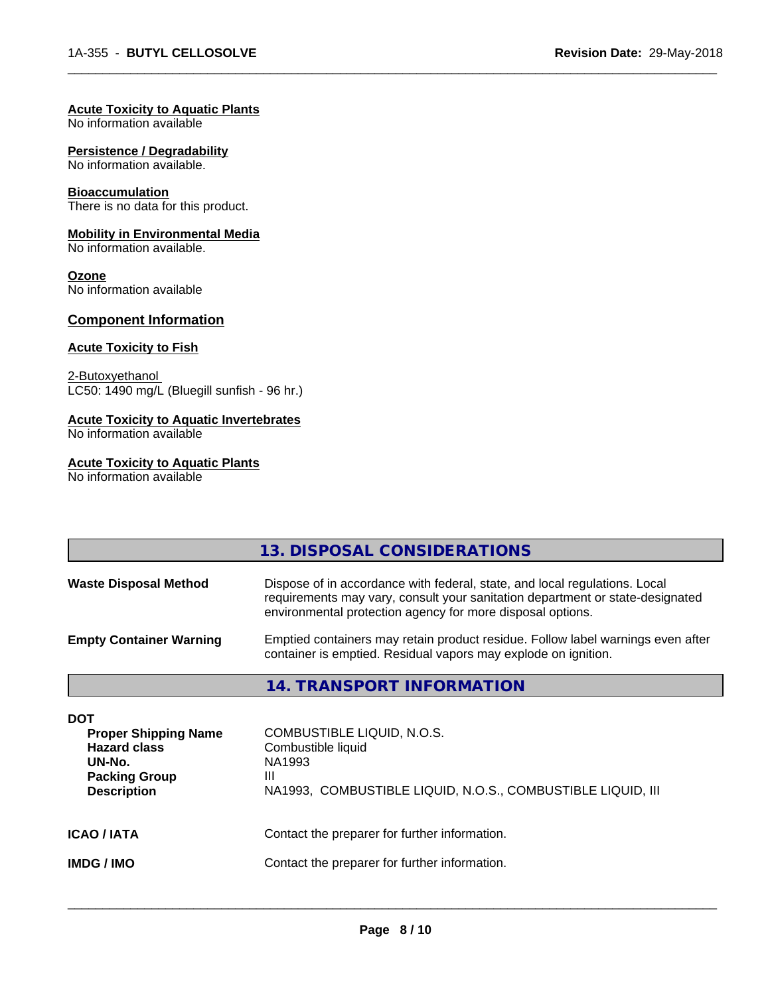#### **Acute Toxicity to Aquatic Plants**

No information available

#### **Persistence / Degradability**

No information available.

# **Bioaccumulation**

There is no data for this product.

#### **Mobility in Environmental Media**

No information available.

#### **Ozone**

No information available

# **Component Information**

# **Acute Toxicity to Fish**

2-Butoxyethanol LC50: 1490 mg/L (Bluegill sunfish - 96 hr.)

# **Acute Toxicity to Aquatic Invertebrates**

No information available

# **Acute Toxicity to Aquatic Plants**

No information available

|                                                                                                                          | 13. DISPOSAL CONSIDERATIONS                                                                                                                                                                                               |
|--------------------------------------------------------------------------------------------------------------------------|---------------------------------------------------------------------------------------------------------------------------------------------------------------------------------------------------------------------------|
|                                                                                                                          |                                                                                                                                                                                                                           |
| <b>Waste Disposal Method</b>                                                                                             | Dispose of in accordance with federal, state, and local regulations. Local<br>requirements may vary, consult your sanitation department or state-designated<br>environmental protection agency for more disposal options. |
| <b>Empty Container Warning</b>                                                                                           | Emptied containers may retain product residue. Follow label warnings even after<br>container is emptied. Residual vapors may explode on ignition.                                                                         |
|                                                                                                                          | 14. TRANSPORT INFORMATION                                                                                                                                                                                                 |
| <b>DOT</b><br><b>Proper Shipping Name</b><br><b>Hazard class</b><br>UN-No.<br><b>Packing Group</b><br><b>Description</b> | COMBUSTIBLE LIQUID, N.O.S.<br>Combustible liquid<br>NA1993<br>Ш<br>NA1993, COMBUSTIBLE LIQUID, N.O.S., COMBUSTIBLE LIQUID, III                                                                                            |
| ICAO / IATA                                                                                                              | Contact the preparer for further information.                                                                                                                                                                             |
| IMDG / IMO                                                                                                               | Contact the preparer for further information.                                                                                                                                                                             |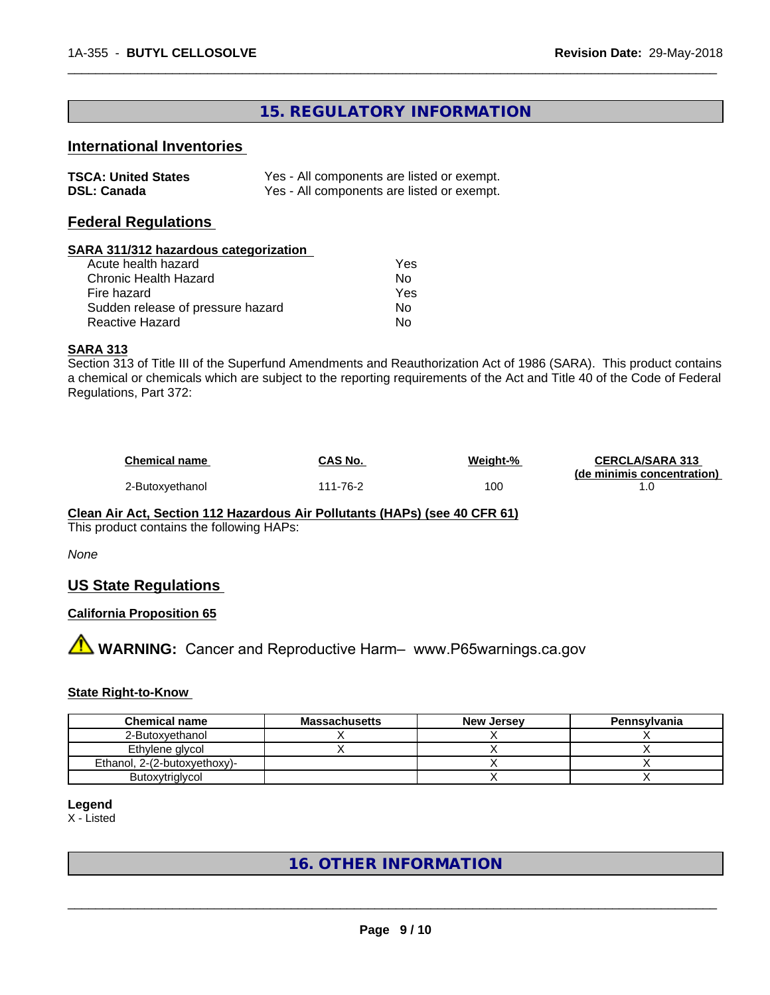# **15. REGULATORY INFORMATION**

 $\overline{\phantom{a}}$  ,  $\overline{\phantom{a}}$  ,  $\overline{\phantom{a}}$  ,  $\overline{\phantom{a}}$  ,  $\overline{\phantom{a}}$  ,  $\overline{\phantom{a}}$  ,  $\overline{\phantom{a}}$  ,  $\overline{\phantom{a}}$  ,  $\overline{\phantom{a}}$  ,  $\overline{\phantom{a}}$  ,  $\overline{\phantom{a}}$  ,  $\overline{\phantom{a}}$  ,  $\overline{\phantom{a}}$  ,  $\overline{\phantom{a}}$  ,  $\overline{\phantom{a}}$  ,  $\overline{\phantom{a}}$ 

# **International Inventories**

| <b>TSCA: United States</b> | Yes - All components are listed or exempt. |
|----------------------------|--------------------------------------------|
| <b>DSL: Canada</b>         | Yes - All components are listed or exempt. |

# **Federal Regulations**

# **SARA 311/312 hazardous categorization**

| Acute health hazard               | Yes |
|-----------------------------------|-----|
| Chronic Health Hazard             | N٥  |
| Fire hazard                       | Yes |
| Sudden release of pressure hazard | N٥  |
| Reactive Hazard                   | N٥  |

#### **SARA 313**

Section 313 of Title III of the Superfund Amendments and Reauthorization Act of 1986 (SARA). This product contains a chemical or chemicals which are subject to the reporting requirements of the Act and Title 40 of the Code of Federal Regulations, Part 372:

| <b>Chemical name</b> | CAS No.   | Weight-% | <b>CERCLA/SARA 313</b>     |
|----------------------|-----------|----------|----------------------------|
|                      |           |          | (de minimis concentration) |
| 2-Butoxyethanol      | i 11-76-2 | 100      |                            |

#### **Clean Air Act,Section 112 Hazardous Air Pollutants (HAPs) (see 40 CFR 61)** This product contains the following HAPs:

# *None*

# **US State Regulations**

# **California Proposition 65**

**AN** WARNING: Cancer and Reproductive Harm– www.P65warnings.ca.gov

# **State Right-to-Know**

| <b>Chemical name</b>         | <b>Massachusetts</b> | <b>New Jersey</b> | Pennsylvania |
|------------------------------|----------------------|-------------------|--------------|
| 2-Butoxyethanol              |                      |                   |              |
| Ethylene glycol              |                      |                   |              |
| Ethanol, 2-(2-butoxyethoxy)- |                      |                   |              |
| Butoxytriglycol              |                      |                   |              |

#### **Legend**

X - Listed

**16. OTHER INFORMATION**